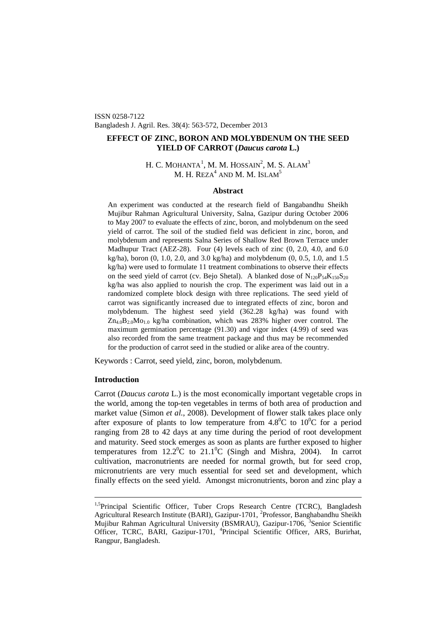ISSN 0258-7122 Bangladesh J. Agril. Res. 38(4): 563-572, December 2013

# **EFFECT OF ZINC, BORON AND MOLYBDENUM ON THE SEED YIELD OF CARROT (***Daucus carota* **L.)**

# H. C. MOHANTA $^1$  $^1$ , M. M. HOSSAIN $^2$ , M. S. Alam $^3$ M. H. REZA $^4$  AND M. M. ISLAM $^5$

### **Abstract**

An experiment was conducted at the research field of Bangabandhu Sheikh Mujibur Rahman Agricultural University, Salna, Gazipur during October 2006 to May 2007 to evaluate the effects of zinc, boron, and molybdenum on the seed yield of carrot. The soil of the studied field was deficient in zinc, boron, and molybdenum and represents Salna Series of Shallow Red Brown Terrace under Madhupur Tract (AEZ-28). Four (4) levels each of zinc (0, 2.0, 4.0, and 6.0 kg/ha), boron (0, 1.0, 2.0, and 3.0 kg/ha) and molybdenum (0, 0.5, 1.0, and 1.5 kg/ha) were used to formulate 11 treatment combinations to observe their effects on the seed yield of carrot (cv. Bejo Shetal). A blanked dose of  $N_{120}P_{54}K_{150}S_{20}$ kg/ha was also applied to nourish the crop. The experiment was laid out in a randomized complete block design with three replications. The seed yield of carrot was significantly increased due to integrated effects of zinc, boron and molybdenum. The highest seed yield (362.28 kg/ha) was found with  $Zn_{4.0}B_{2.0}Mo_{1.0}$  kg/ha combination, which was 283% higher over control. The maximum germination percentage (91.30) and vigor index (4.99) of seed was also recorded from the same treatment package and thus may be recommended for the production of carrot seed in the studied or alike area of the country.

Keywords : Carrot, seed yield, zinc, boron, molybdenum.

# **Introduction**

Carrot (*Daucus carota* L.) is the most economically important vegetable crops in the world, among the top-ten vegetables in terms of both area of production and market value (Simon *et al.*, 2008). Development of flower stalk takes place only after exposure of plants to low temperature from  $4.8^{\circ}$ C to  $10^{\circ}$ C for a period ranging from 28 to 42 days at any time during the period of root development and maturity. Seed stock emerges as soon as plants are further exposed to higher temperatures from  $12.2^{\circ}$ C to  $21.1^{\circ}$ C (Singh and Mishra, 2004). In carrot cultivation, macronutrients are needed for normal growth, but for seed crop, micronutrients are very much essential for seed set and development, which finally effects on the seed yield. Amongst micronutrients, boron and zinc play a

<span id="page-0-0"></span><sup>&</sup>lt;sup>1,5</sup>Principal Scientific Officer, Tuber Crops Research Centre (TCRC), Bangladesh Agricultural Research Institute (BARI), Gazipur-1701, <sup>2</sup>Professor, Banghabandhu Sheikh Mujibur Rahman Agricultural University (BSMRAU), Gazipur-1706, <sup>3</sup>Senior Scientific Officer, TCRC, BARI, Gazipur-1701, <sup>4</sup>Principal Scientific Officer, ARS, Burirhat, Rangpur, Bangladesh.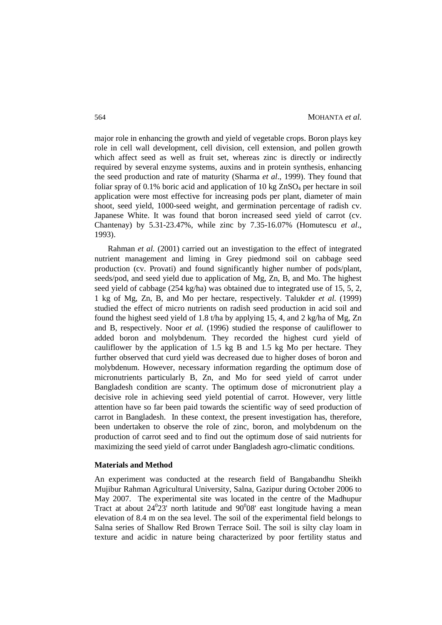major role in enhancing the growth and yield of vegetable crops. Boron plays key role in cell wall development, cell division, cell extension, and pollen growth which affect seed as well as fruit set, whereas zinc is directly or indirectly required by several enzyme systems, auxins and in protein synthesis, enhancing the seed production and rate of maturity (Sharma *et al*., 1999). They found that foliar spray of 0.1% boric acid and application of 10 kg  $ZnSO<sub>4</sub>$  per hectare in soil application were most effective for increasing pods per plant, diameter of main shoot, seed yield, 1000-seed weight, and germination percentage of radish cv. Japanese White. It was found that boron increased seed yield of carrot (cv. Chantenay) by 5.31-23.47%, while zinc by 7.35-16.07% (Homutescu *et al*., 1993).

Rahman *et al.* (2001) carried out an investigation to the effect of integrated nutrient management and liming in Grey piedmond soil on cabbage seed production (cv. Provati) and found significantly higher number of pods/plant, seeds/pod, and seed yield due to application of Mg, Zn, B, and Mo. The highest seed yield of cabbage (254 kg/ha) was obtained due to integrated use of 15, 5, 2, 1 kg of Mg, Zn, B, and Mo per hectare, respectively. Talukder *et al.* (1999) studied the effect of micro nutrients on radish seed production in acid soil and found the highest seed yield of 1.8 t/ha by applying 15, 4, and 2 kg/ha of Mg, Zn and B, respectively. Noor *et al.* (1996) studied the response of cauliflower to added boron and molybdenum. They recorded the highest curd yield of cauliflower by the application of 1.5 kg B and 1.5 kg Mo per hectare. They further observed that curd yield was decreased due to higher doses of boron and molybdenum. However, necessary information regarding the optimum dose of micronutrients particularly B, Zn, and Mo for seed yield of carrot under Bangladesh condition are scanty. The optimum dose of micronutrient play a decisive role in achieving seed yield potential of carrot. However, very little attention have so far been paid towards the scientific way of seed production of carrot in Bangladesh. In these context, the present investigation has, therefore, been undertaken to observe the role of zinc, boron, and molybdenum on the production of carrot seed and to find out the optimum dose of said nutrients for maximizing the seed yield of carrot under Bangladesh agro-climatic conditions.

#### **Materials and Method**

An experiment was conducted at the research field of Bangabandhu Sheikh Mujibur Rahman Agricultural University, Salna, Gazipur during October 2006 to May 2007. The experimental site was located in the centre of the Madhupur Tract at about  $24^{\circ}23'$  north latitude and  $90^{\circ}08'$  east longitude having a mean elevation of 8.4 m on the sea level. The soil of the experimental field belongs to Salna series of Shallow Red Brown Terrace Soil. The soil is silty clay loam in texture and acidic in nature being characterized by poor fertility status and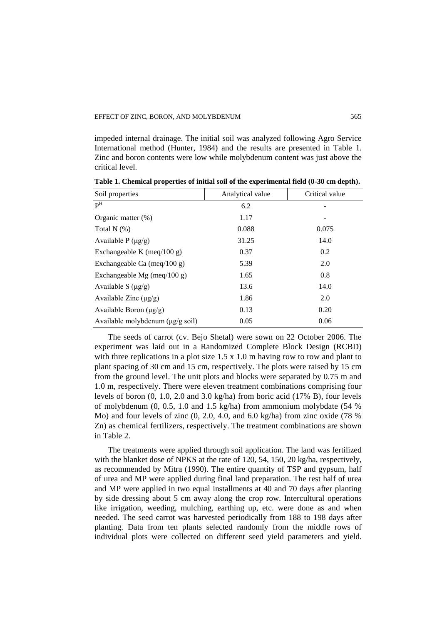impeded internal drainage. The initial soil was analyzed following Agro Service International method (Hunter, 1984) and the results are presented in Table 1. Zinc and boron contents were low while molybdenum content was just above the critical level.

| Soil properties                               | Analytical value | Critical value |
|-----------------------------------------------|------------------|----------------|
| $\mathbf{P}^{\mathrm{H}}$                     | 6.2              |                |
| Organic matter (%)                            | 1.17             |                |
| Total N $(%)$                                 | 0.088            | 0.075          |
| Available P $(\mu g/g)$                       | 31.25            | 14.0           |
| Exchangeable K (meq/100 g)                    | 0.37             | 0.2            |
| Exchangeable Ca (meq/100 g)                   | 5.39             | 2.0            |
| Exchangeable Mg (meq/100 g)                   | 1.65             | 0.8            |
| Available S $(\mu g/g)$                       | 13.6             | 14.0           |
| Available Zinc $(\mu g/g)$                    | 1.86             | 2.0            |
| Available Boron $(\mu g/g)$                   | 0.13             | 0.20           |
| Available molybdenum $(\mu g/g \text{ soil})$ | 0.05             | 0.06           |

**Table 1. Chemical properties of initial soil of the experimental field (0-30 cm depth).**

The seeds of carrot (cv. Bejo Shetal) were sown on 22 October 2006. The experiment was laid out in a Randomized Complete Block Design (RCBD) with three replications in a plot size 1.5 x 1.0 m having row to row and plant to plant spacing of 30 cm and 15 cm, respectively. The plots were raised by 15 cm from the ground level. The unit plots and blocks were separated by 0.75 m and 1.0 m, respectively. There were eleven treatment combinations comprising four levels of boron (0, 1.0, 2.0 and 3.0 kg/ha) from boric acid (17% B), four levels of molybdenum (0, 0.5, 1.0 and 1.5 kg/ha) from ammonium molybdate (54 % Mo) and four levels of zinc (0, 2.0, 4.0, and 6.0 kg/ha) from zinc oxide (78 % Zn) as chemical fertilizers, respectively. The treatment combinations are shown in Table 2.

The treatments were applied through soil application. The land was fertilized with the blanket dose of NPKS at the rate of 120, 54, 150, 20 kg/ha, respectively, as recommended by Mitra (1990). The entire quantity of TSP and gypsum, half of urea and MP were applied during final land preparation. The rest half of urea and MP were applied in two equal installments at 40 and 70 days after planting by side dressing about 5 cm away along the crop row. Intercultural operations like irrigation, weeding, mulching, earthing up, etc. were done as and when needed. The seed carrot was harvested periodically from 188 to 198 days after planting. Data from ten plants selected randomly from the middle rows of individual plots were collected on different seed yield parameters and yield.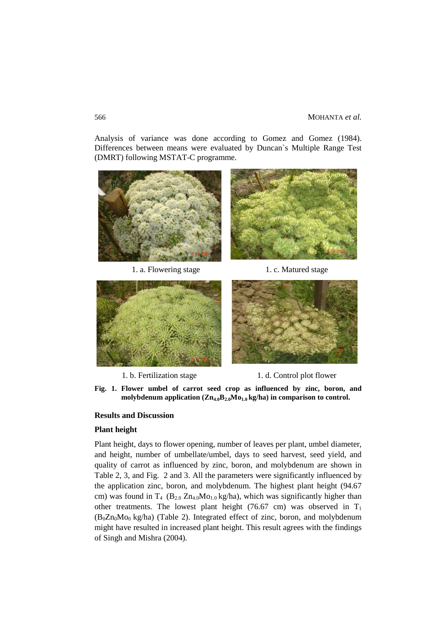Analysis of variance was done according to Gomez and Gomez (1984). Differences between means were evaluated by Duncan`s Multiple Range Test (DMRT) following MSTAT-C programme.



1. a. Flowering stage 1. c. Matured stage





1. b. Fertilization stage 1. d. Control plot flower

**Fig. 1. Flower umbel of carrot seed crop as influenced by zinc, boron, and**  molybdenum application  $(Zn_{4,0}B_{2,0}Mo_{1,0}kg/ha)$  in comparison to control.

# **Results and Discussion**

#### **Plant height**

Plant height, days to flower opening, number of leaves per plant, umbel diameter, and height, number of umbellate/umbel, days to seed harvest, seed yield, and quality of carrot as influenced by zinc, boron, and molybdenum are shown in Table 2, 3, and Fig. 2 and 3. All the parameters were significantly influenced by the application zinc, boron, and molybdenum. The highest plant height (94.67 cm) was found in  $T_4$  ( $B_{2.0} Zn_{4.0}Mo_{1.0}$  kg/ha), which was significantly higher than other treatments. The lowest plant height (76.67 cm) was observed in  $T_1$  $(B_0Zn_0Mo_0$  kg/ha) (Table 2). Integrated effect of zinc, boron, and molybdenum might have resulted in increased plant height. This result agrees with the findings of Singh and Mishra (2004).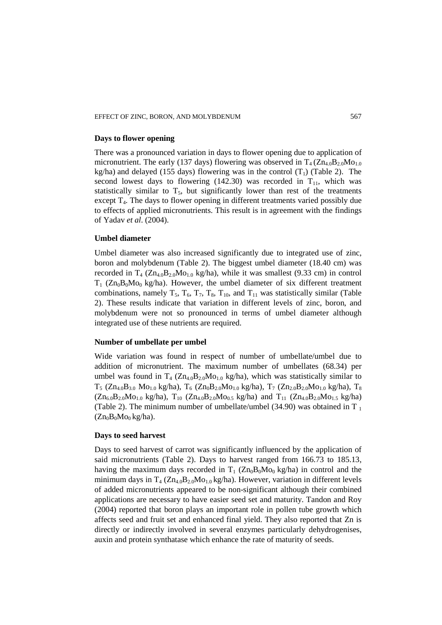### **Days to flower opening**

There was a pronounced variation in days to flower opening due to application of micronutrient. The early (137 days) flowering was observed in  $T_4 (Zn_{40}B_2)_0MO_{1.0}$ kg/ha) and delayed (155 days) flowering was in the control  $(T_1)$  (Table 2). The second lowest days to flowering (142.30) was recorded in  $T_{11}$ , which was statistically similar to  $T_5$ , but significantly lower than rest of the treatments except  $T<sub>4</sub>$ . The days to flower opening in different treatments varied possibly due to effects of applied micronutrients. This result is in agreement with the findings of Yadav *et al*. (2004).

## **Umbel diameter**

Umbel diameter was also increased significantly due to integrated use of zinc, boron and molybdenum (Table 2). The biggest umbel diameter (18.40 cm) was recorded in  $T_4$  ( $Zn_{4.0}B_{2.0}Mo_{1.0}$  kg/ha), while it was smallest (9.33 cm) in control  $T_1$  (Zn<sub>0</sub>B<sub>0</sub>M<sub>O0</sub> kg/ha). However, the umbel diameter of six different treatment combinations, namely  $T_5$ ,  $T_6$ ,  $T_7$ ,  $T_8$ ,  $T_{10}$ , and  $T_{11}$  was statistically similar (Table 2). These results indicate that variation in different levels of zinc, boron, and molybdenum were not so pronounced in terms of umbel diameter although integrated use of these nutrients are required.

### **Number of umbellate per umbel**

Wide variation was found in respect of number of umbellate/umbel due to addition of micronutrient. The maximum number of umbellates (68.34) per umbel was found in  $T_4$  ( $Zn_{4.0}B_{2.0}Mo_{1.0}$  kg/ha), which was statistically similar to  $T_5$  (Zn<sub>4.0</sub>B<sub>3.0</sub> Mo<sub>1.0</sub> kg/ha),  $T_6$  (Zn<sub>0</sub>B<sub>2.0</sub>Mo<sub>1.0</sub> kg/ha),  $T_7$  (Zn<sub>2.0</sub>B<sub>2.0</sub>Mo<sub>1.0</sub> kg/ha),  $T_8$  $(Zn_{6.0}B_{2.0}Mo_{1.0}$  kg/ha),  $T_{10}$   $(Zn_{4.0}B_{2.0}Mo_{0.5}$  kg/ha) and  $T_{11}$   $(Zn_{4.0}B_{2.0}Mo_{1.5}$  kg/ha) (Table 2). The minimum number of umbellate/umbel (34.90) was obtained in T<sub>1</sub>  $(Zn_0B_0Mo_0kg/ha)$ .

#### **Days to seed harvest**

Days to seed harvest of carrot was significantly influenced by the application of said micronutrients (Table 2). Days to harvest ranged from 166.73 to 185.13, having the maximum days recorded in  $T_1$  ( $Zn_0B_0Mo_0$  kg/ha) in control and the minimum days in  $T_4$  ( $Zn_{4.0}B_{2.0}Mo_{1.0}$  kg/ha). However, variation in different levels of added micronutrients appeared to be non-significant although their combined applications are necessary to have easier seed set and maturity. Tandon and Roy (2004) reported that boron plays an important role in pollen tube growth which affects seed and fruit set and enhanced final yield. They also reported that Zn is directly or indirectly involved in several enzymes particularly dehydrogenises, auxin and protein synthatase which enhance the rate of maturity of seeds.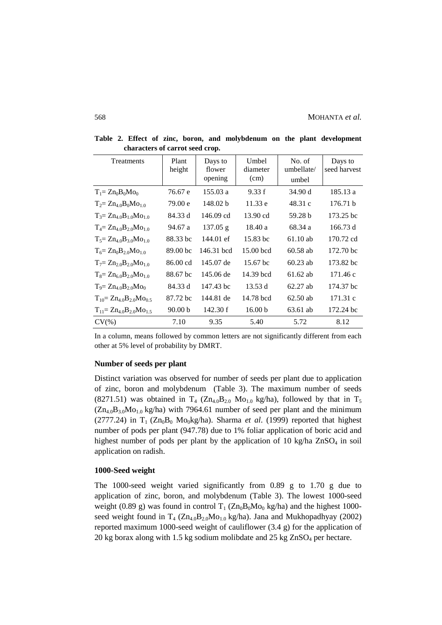| Treatments                         | Plant<br>height     | Days to<br>flower<br>opening | Umbel<br>diameter<br>(cm) | No. of<br>umbellate/<br>umbel | Days to<br>seed harvest |
|------------------------------------|---------------------|------------------------------|---------------------------|-------------------------------|-------------------------|
| $T_1 = Zn_0B_0Mo_0$                | 76.67 e             | 155.03 a                     | 9.33 f                    | 34.90 d                       | 185.13 a                |
| $T_2 = Zn_{40}B_0Mo_{10}$          | 79.00 e             | 148.02 b                     | 11.33 e                   | 48.31 c                       | 176.71 b                |
| $T_3 = Zn_{4,0}B_{1,0}Mo_{1,0}$    | 84.33 d             | 146.09 cd                    | 13.90 cd                  | 59.28 b                       | 173.25 bc               |
| $T_4 = Zn_{4.0}B_{2.0}Mo_{1.0}$    | 94.67 a             | $137.05$ g                   | 18.40 a                   | 68.34 a                       | 166.73 d                |
| $T_5 = Zn_{4.0}B_{3.0}Mo_{1.0}$    | 88.33 bc            | 144.01 ef                    | 15.83 bc                  | $61.10$ ab                    | 170.72 cd               |
| $T_6 = Zn_0B_2 OMo_{1,0}$          | 89.00 <sub>bc</sub> | 146.31 bcd                   | 15.00 bcd                 | $60.58$ ab                    | $172.70 \text{ bc}$     |
| $T_7 = Zn_{2,0}B_{2,0}Mo_{1,0}$    | 86.00 cd            | 145.07 de                    | 15.67 bc                  | $60.23$ ab                    | 173.82 bc               |
| $T_8 = Zn_{6.0}B_{2.0}Mo_{1.0}$    | 88.67 bc            | 145.06 de                    | 14.39 bcd                 | $61.62$ ab                    | 171.46 c                |
| $T_9 = Zn_{4.0}B_{2.0}Mo_0$        | 84.33 d             | 147.43 bc                    | 13.53 d                   | $62.27$ ab                    | 174.37 bc               |
| $T_{10} = Zn_{4.0}B_{2.0}Mo_{0.5}$ | 87.72 bc            | 144.81 de                    | 14.78 bcd                 | $62.50$ ab                    | 171.31 c                |
| $T_{11} = Zn_{40}B_{20}Mo_{15}$    | 90.00 <sub>b</sub>  | 142.30 f                     | 16.00 <sub>b</sub>        | 63.61 ab                      | 172.24 bc               |
| $CV(\% )$                          | 7.10                | 9.35                         | 5.40                      | 5.72                          | 8.12                    |

**Table 2. Effect of zinc, boron, and molybdenum on the plant development characters of carrot seed crop.**

In a column, means followed by common letters are not significantly different from each other at 5% level of probability by DMRT.

# **Number of seeds per plant**

Distinct variation was observed for number of seeds per plant due to application of zinc, boron and molybdenum (Table 3). The maximum number of seeds (8271.51) was obtained in  $T_4$  ( $Zn_{4.0}B_{2.0}$  Mo<sub>1.0</sub> kg/ha), followed by that in  $T_5$  $(Zn_{4.0}B_{3.0}Mo_{1.0}$  kg/ha) with 7964.61 number of seed per plant and the minimum (2777.24) in  $T_1$  ( $Zn_0B_0$  Mo<sub>0</sub>kg/ha). Sharma *et al.* (1999) reported that highest number of pods per plant (947.78) due to 1% foliar application of boric acid and highest number of pods per plant by the application of 10 kg/ha  $ZnSO<sub>4</sub>$  in soil application on radish.

#### **1000-Seed weight**

The 1000-seed weight varied significantly from 0.89 g to 1.70 g due to application of zinc, boron, and molybdenum (Table 3). The lowest 1000-seed weight (0.89 g) was found in control  $T_1$  ( $Zn_0B_0Mo_0$  kg/ha) and the highest 1000seed weight found in  $T_4$  ( $Zn_{4.0}B_{2.0}Mo_{1.0}$  kg/ha). Jana and Mukhopadhyay (2002) reported maximum 1000-seed weight of cauliflower (3.4 g) for the application of 20 kg borax along with 1.5 kg sodium molibdate and 25 kg  $ZnSO<sub>4</sub>$  per hectare.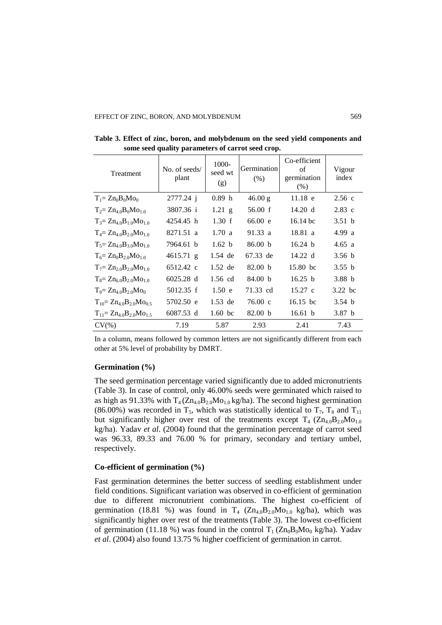| Treatment                          | No. of seeds/<br>plant | 1000-<br>seed wt<br>(g) | <b>Germination</b><br>(% ) | Co-efficient<br>of<br>germination<br>(% ) | Vigour<br>index   |
|------------------------------------|------------------------|-------------------------|----------------------------|-------------------------------------------|-------------------|
| $T_1 = Zn_0B_0Mo_0$                | 2777.24 j              | 0.89 <sub>h</sub>       | 46.00 g                    | $11.18$ e                                 | 2.56c             |
| $T_2 = Zn_{4.0}B_0Mo_{1.0}$        | 3807.36 i              | $1.21$ g                | 56.00 f                    | 14.20 d                                   | $2.83$ c          |
| $T_3 = Zn_{4.0}B_{1.0}Mo_{1.0}$    | 4254.45 h              | 1.30 f                  | 66.00 e                    | $16.14 \text{ bc}$                        | 3.51 <sub>b</sub> |
| $T_4 = Zn_{4,0}B_{2,0}Mo_{1,0}$    | 8271.51 a              | 1.70 a                  | 91.33 a                    | 18.81 a                                   | 4.99 a            |
| $T_5 = Zn_{4.0}B_{3.0}Mo_{1.0}$    | 7964.61 b              | 1.62 b                  | 86.00 b                    | 16.24 $b$                                 | 4.65 a            |
| $T_6 = Zn_0B_{2,0}Mo_{1,0}$        | $4615.71$ g            | 1.54 de                 | 67.33 de                   | $14.22 \text{ d}$                         | 3.56 <sub>b</sub> |
| $T_7 = Zn_{2,0}B_{2,0}Mo_{1,0}$    | 6512.42 c              | $1.52$ de               | 82.00 <sub>b</sub>         | 15.80 bc                                  | 3.55 b            |
| $T_8 = Zn_{6.0}B_{2.0}Mo_{1.0}$    | 6025.28 d              | 1.56 cd                 | 84.00 h                    | 16.25 h                                   | 3.88 <sub>b</sub> |
| $T_9 = Zn_{40}B_{20}Mo_0$          | 5012.35 f              | 1.50 e                  | 71.33 cd                   | $15.27 \text{ c}$                         | 3.22 bc           |
| $T_{10} = Zn_{40}B_{20}Mo_{0.5}$   | 5702.50 e              | $1.53$ de               | $76.00 \text{ c}$          | $16.15 \text{ bc}$                        | 3.54 <sub>b</sub> |
| $T_{11} = Zn_{4.0}B_{2.0}Mo_{1.5}$ | 6087.53 d              | $1.60$ bc               | 82.00 b                    | 16.61 $\bar{b}$                           | 3.87 <sub>b</sub> |
| $CV(\%)$                           | 7.19                   | 5.87                    | 2.93                       | 2.41                                      | 7.43              |

**Table 3. Effect of zinc, boron, and molybdenum on the seed yield components and some seed quality parameters of carrot seed crop.**

In a column, means followed by common letters are not significantly different from each other at 5% level of probability by DMRT.

## **Germination (%)**

The seed germination percentage varied significantly due to added micronutrients (Table 3). In case of control, only 46.00% seeds were germinated which raised to as high as 91.33% with  $T_4$ ( $Zn_{4.0}B_{2.0}Mo_{1.0}$  kg/ha). The second highest germination (86.00%) was recorded in  $T_5$ , which was statistically identical to  $T_7$ ,  $T_8$  and  $T_{11}$ but significantly higher over rest of the treatments except  $T_4$  ( $Zn_{4,0}B_{2,0}Mo_{1,0}$ kg/ha). Yadav *et al*. (2004) found that the germination percentage of carrot seed was 96.33, 89.33 and 76.00 % for primary, secondary and tertiary umbel, respectively.

# **Co-efficient of germination (%)**

Fast germination determines the better success of seedling establishment under field conditions. Significant variation was observed in co-efficient of germination due to different micronutrient combinations. The highest co-efficient of germination (18.81 %) was found in  $T_4$  ( $Zn_{4,0}B_{2,0}Mo_{1,0}$  kg/ha), which was significantly higher over rest of the treatments (Table 3). The lowest co-efficient of germination (11.18 %) was found in the control  $T_1$  ( $Zn_0B_0Mo_0$  kg/ha). Yadav *et al*. (2004) also found 13.75 % higher coefficient of germination in carrot.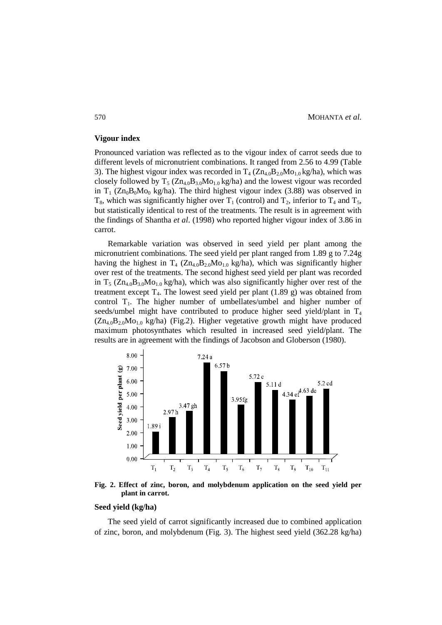#### **Vigour index**

Pronounced variation was reflected as to the vigour index of carrot seeds due to different levels of micronutrient combinations. It ranged from 2.56 to 4.99 (Table 3). The highest vigour index was recorded in  $T_4$  ( $Zn_{4.0}B_{2.0}Mo_{1.0}$  kg/ha), which was closely followed by  $T_5$  ( $Zn_{4.0}B_{3.0}Mo_{1.0}$  kg/ha) and the lowest vigour was recorded in  $T_1$  ( $Zn_0B_0Mo_0$  kg/ha). The third highest vigour index (3.88) was observed in  $T_8$ , which was significantly higher over  $T_1$  (control) and  $T_2$ , inferior to  $T_4$  and  $T_5$ , but statistically identical to rest of the treatments. The result is in agreement with the findings of Shantha *et al*. (1998) who reported higher vigour index of 3.86 in carrot.

Remarkable variation was observed in seed yield per plant among the micronutrient combinations. The seed yield per plant ranged from 1.89 g to 7.24g having the highest in  $T_4$  ( $Zn_{4.0}B_{2.0}Mo_{1.0}$  kg/ha), which was significantly higher over rest of the treatments. The second highest seed yield per plant was recorded in  $T_5$  ( $Zn_{4.0}B_{3.0}Mo_{1.0}$  kg/ha), which was also significantly higher over rest of the treatment except  $T_4$ . The lowest seed yield per plant (1.89 g) was obtained from control  $T_1$ . The higher number of umbellates/umbel and higher number of seeds/umbel might have contributed to produce higher seed yield/plant in  $T_4$  $(Zn_{4.0}B_{2.0}Mo_{1.0}kg/ha)$  (Fig.2). Higher vegetative growth might have produced maximum photosynthates which resulted in increased seed yield/plant. The results are in agreement with the findings of Jacobson and Globerson (1980).



**Fig. 2. Effect of zinc, boron, and molybdenum application on the seed yield per plant in carrot.**

# **Seed yield (kg/ha)**

The seed yield of carrot significantly increased due to combined application of zinc, boron, and molybdenum (Fig. 3). The highest seed yield (362.28 kg/ha)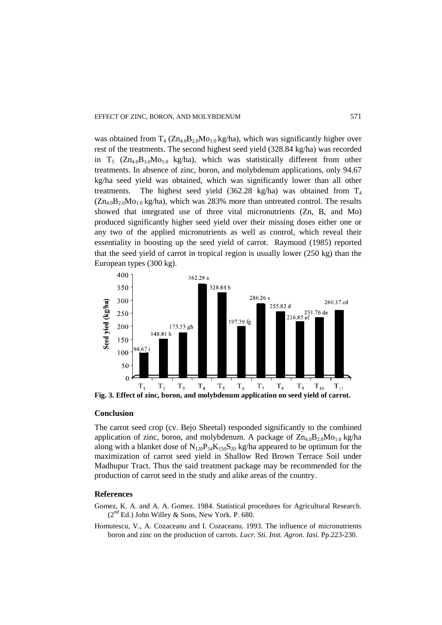was obtained from  $T_4$  ( $Zn_{4.0}B_{2.0}Mo_{1.0}$  kg/ha), which was significantly higher over rest of the treatments. The second highest seed yield (328.84 kg/ha) was recorded in  $T_5$  ( $Zn_{4.0}B_{3.0}Mo_{1.0}$  kg/ha), which was statistically different from other treatments. In absence of zinc, boron, and molybdenum applications, only 94.67 kg/ha seed yield was obtained, which was significantly lower than all other treatments. The highest seed yield (362.28 kg/ha) was obtained from  $T_4$  $(Zn_{4.0}B_{2.0}Mo_{1.0}kg/ha)$ , which was 283% more than untreated control. The results showed that integrated use of three vital micronutrients (Zn, B, and Mo) produced significantly higher seed yield over their missing doses either one or any two of the applied micronutrients as well as control, which reveal their essentiality in boosting up the seed yield of carrot. Raymond (1985) reported that the seed yield of carrot in tropical region is usually lower (250 kg) than the European types (300 kg).



#### **Conclusion**

The carrot seed crop (cv. Bejo Sheetal) responded significantly to the combined application of zinc, boron, and molybdenum. A package of  $Zn_{4.0}B_{2.0}Mo_{1.0}$  kg/ha along with a blanket dose of  $N_{120}P_{54}K_{150}S_{20}$  kg/ha appeared to be optimum for the maximization of carrot seed yield in Shallow Red Brown Terrace Soil under Madhupur Tract. Thus the said treatment package may be recommended for the production of carrot seed in the study and alike areas of the country.

# **References**

- Gomez, K. A. and A. A. Gomez. 1984. Statistical procedures for Agricultural Research.  $(2<sup>nd</sup> Ed.)$  John Willey & Sons, New York. P. 680.
- Homutescu, V., A. Cozaceanu and I. Cozaceanu. 1993. The influence of micronutrients boron and zinc on the production of carrots. *Lucr. Sti. Inst. Agron. Iasi.* Pp.223-230.